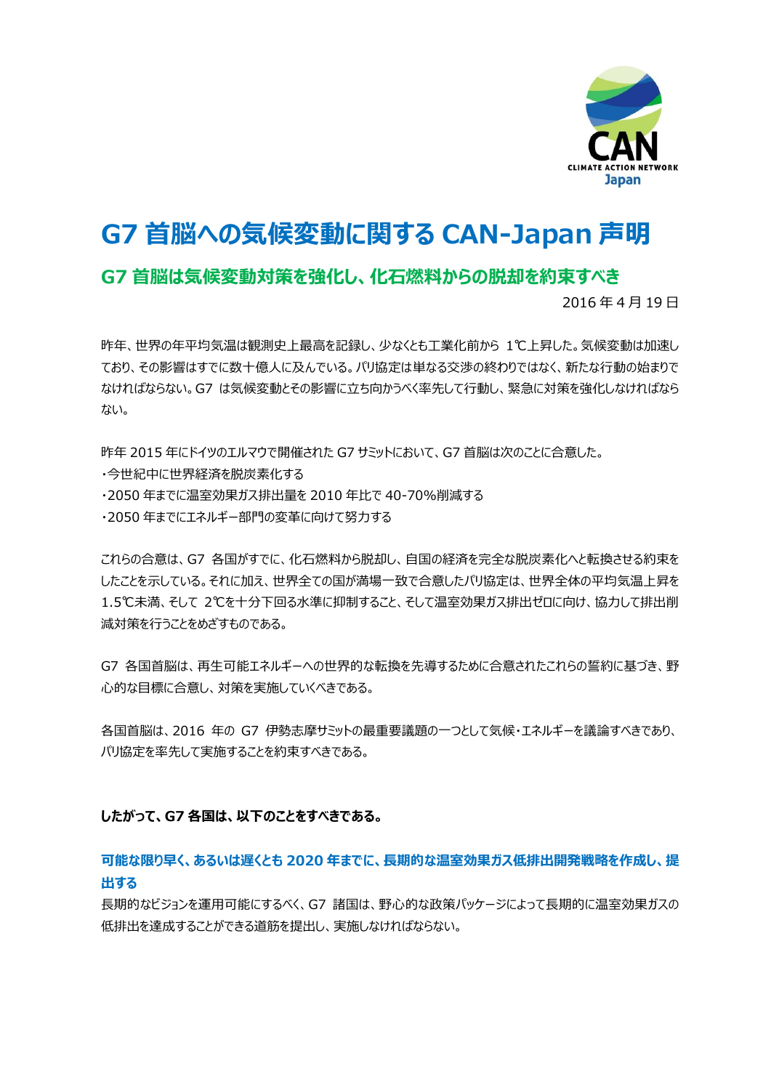

# **G7 首脳への気候変動に関する CAN-Japan 声明**

# **G7 首脳は気候変動対策を強化し、化石燃料からの脱却を約束すべき**

2016 年 4 月 19 日

昨年、世界の年平均気温は観測史上最高を記録し、少なくとも工業化前から 1℃上昇した。気候変動は加速し ており、その影響はすでに数十億人に及んでいる。パリ協定は単なる交渉の終わりではなく、新たな行動の始まりで なければならない。G7 は気候変動とその影響に立ち向かうべく率先して行動し、緊急に対策を強化しなければなら ない。

昨年 2015 年にドイツのエルマウで開催された G7 サミットにおいて、G7 首脳は次のことに合意した。 ・今世紀中に世界経済を脱炭素化する ・2050 年までに温室効果ガス排出量を 2010 年比で 40-70%削減する

・2050 年までにエネルギー部門の変革に向けて努力する

これらの合意は、G7 各国がすでに、化石燃料から脱却し、自国の経済を完全な脱炭素化へと転換させる約束を したことを示している。それに加え、世界全ての国が満場一致で合意したパリ協定は、世界全体の平均気温上昇を 1.5℃未満、そして 2℃を十分下回る水準に抑制すること、そして温室効果ガス排出ゼロに向け、協力して排出削 減対策を行うことをめざすものである。

G7 各国首脳は、再生可能エネルギーへの世界的な転換を先導するために合意されたこれらの誓約に基づき、野 心的な目標に合意し、対策を実施していくべきである。

各国首脳は、2016 年の G7 伊勢志摩サミットの最重要議題の一つとして気候・エネルギーを議論すべきであり、 パリ協定を率先して実施することを約束すべきである。

# **したがって、G7 各国は、以下のことをすべきである。**

# **可能な限り早く、あるいは遅くとも 2020 年までに、長期的な温室効果ガス低排出開発戦略を作成し、提 出する**

長期的なビジョンを運用可能にするべく、G7 諸国は、野心的な政策パッケージによって長期的に温室効果ガスの 低排出を達成することができる道筋を提出し、実施しなければならない。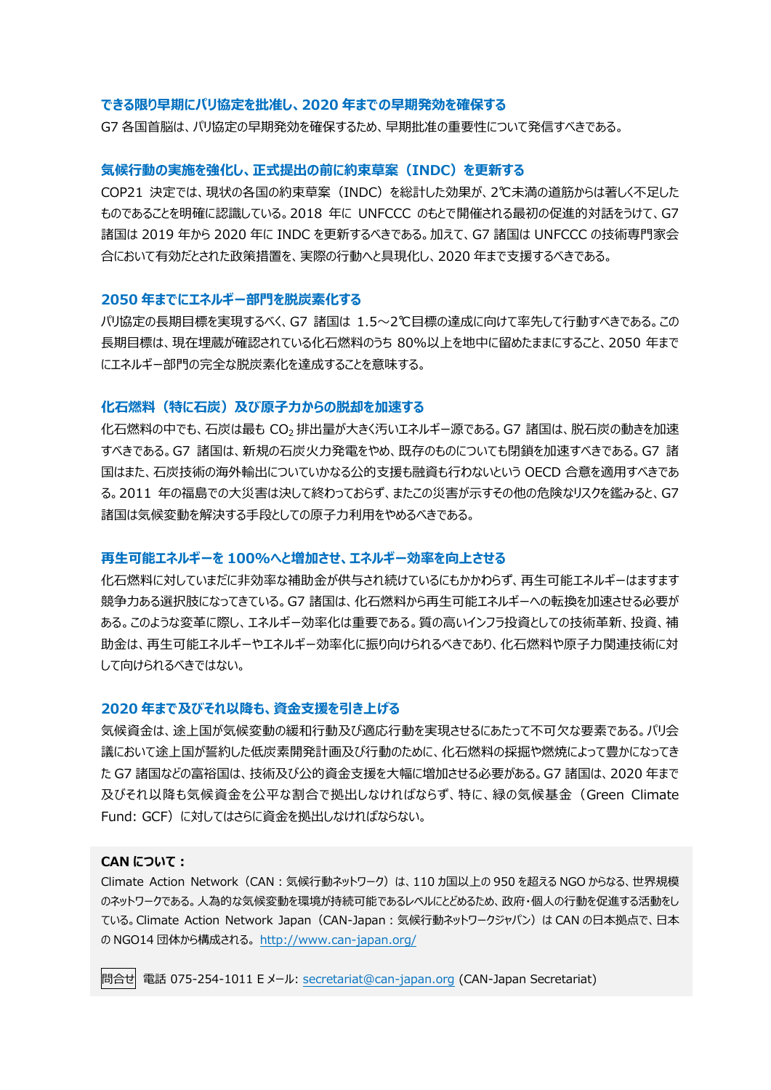### **できる限り早期にパリ協定を批准し、2020 年までの早期発効を確保する**

G7 各国首脳は、パリ協定の早期発効を確保するため、早期批准の重要性について発信すべきである。

#### **気候行動の実施を強化し、正式提出の前に約束草案(INDC)を更新する**

COP21 決定では、現状の各国の約束草案(INDC)を総計した効果が、2℃未満の道筋からは著しく不足した ものであることを明確に認識している。2018 年に UNFCCC のもとで開催される最初の促進的対話をうけて、G7 諸国は 2019 年から 2020 年に INDC を更新するべきである。加えて、G7 諸国は UNFCCC の技術専門家会 合において有効だとされた政策措置を、実際の行動へと具現化し、2020 年まで支援するべきである。

### **2050 年までにエネルギー部門を脱炭素化する**

パリ協定の長期目標を実現するべく、G7 諸国は 1.5~2℃目標の達成に向けて率先して行動すべきである。この 長期目標は、現在埋蔵が確認されている化石燃料のうち 80%以上を地中に留めたままにすること、2050 年まで にエネルギー部門の完全な脱炭素化を達成することを意味する。

### **化石燃料(特に石炭)及び原子力からの脱却を加速する**

化石燃料の中でも、石炭は最も CO<sup>2</sup> 排出量が大きく汚いエネルギー源である。G7 諸国は、脱石炭の動きを加速 すべきである。G7 諸国は、新規の石炭火力発電をやめ、既存のものについても閉鎖を加速すべきである。G7 諸 国はまた、石炭技術の海外輸出についていかなる公的支援も融資も行わないという OECD 合意を適用すべきであ る。2011 年の福島での大災害は決して終わっておらず、またこの災害が示すその他の危険なリスクを鑑みると、G7 諸国は気候変動を解決する手段としての原子力利用をやめるべきである。

### **再生可能エネルギーを 100%へと増加させ、エネルギー効率を向上させる**

化石燃料に対していまだに非効率な補助金が供与され続けているにもかかわらず、再生可能エネルギーはますます 競争力ある選択肢になってきている。G7 諸国は、化石燃料から再生可能エネルギーへの転換を加速させる必要が ある。このような変革に際し、エネルギー効率化は重要である。質の高いインフラ投資としての技術革新、投資、補 助金は、再生可能エネルギーやエネルギー効率化に振り向けられるべきであり、化石燃料や原子力関連技術に対 して向けられるべきではない。

### **2020 年まで及びそれ以降も、資金支援を引き上げる**

気候資金は、途上国が気候変動の緩和行動及び適応行動を実現させるにあたって不可欠な要素である。パリ会 議において途上国が誓約した低炭素開発計画及び行動のために、化石燃料の採掘や燃焼によって豊かになってき た G7 諸国などの富裕国は、技術及び公的資金支援を大幅に増加させる必要がある。G7 諸国は、2020 年まで 及びそれ以降も気候資金を公平な割合で拠出しなければならず、特に、緑の気候基金(Green Climate Fund: GCF)に対してはさらに資金を拠出しなければならない。

### **CAN について:**

Climate Action Network(CAN:気候行動ネットワーク)は、110 カ国以上の 950 を超える NGO からなる、世界規模 のネットワークである。人為的な気候変動を環境が持続可能であるレベルにとどめるため、政府・個人の行動を促進する活動をし ている。Climate Action Network Japan(CAN-Japan:気候行動ネットワークジャパン)は CAN の日本拠点で、日本 の NGO14 団体から構成される。 <http://www.can-japan.org/>

問合せ 電話 075-254-1011 E メール: [secretariat@can-japan.org](mailto:secretariat@can-japan.org) (CAN-Japan Secretariat)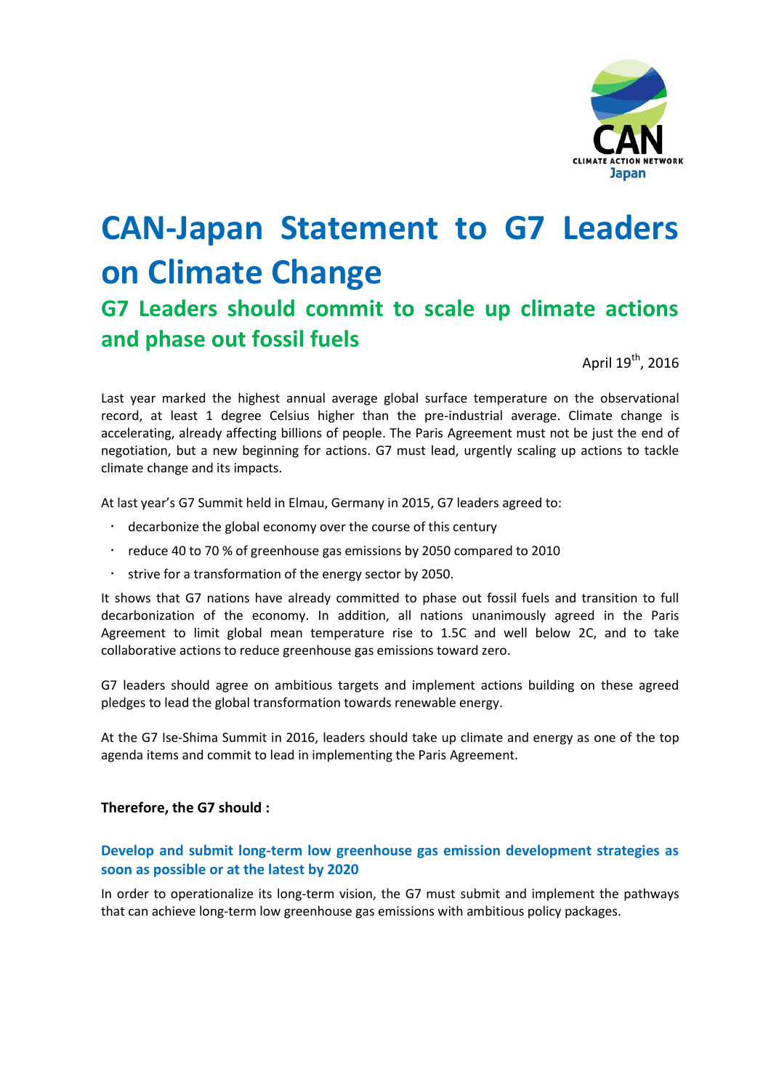

# **CAN-Japan Statement to G7 Leaders on Climate Change**

# **G7 Leaders should commit to scale up climate actions and phase out fossil fuels**

April 19<sup>th</sup>, 2016

Last year marked the highest annual average global surface temperature on the observational record, at least 1 degree Celsius higher than the pre-industrial average. Climate change is accelerating, already affecting billions of people. The Paris Agreement must not be just the end of negotiation, but a new beginning for actions. G7 must lead, urgently scaling up actions to tackle climate change and its impacts.

At last year's G7 Summit held in Elmau, Germany in 2015, G7 leaders agreed to:

- decarbonize the global economy over the course of this century
- reduce 40 to 70 % of greenhouse gas emissions by 2050 compared to 2010
- strive for a transformation of the energy sector by 2050.

It shows that G7 nations have already committed to phase out fossil fuels and transition to full decarbonization of the economy. In addition, all nations unanimously agreed in the Paris Agreement to limit global mean temperature rise to 1.5C and well below 2C, and to take collaborative actions to reduce greenhouse gas emissions toward zero.

G7 leaders should agree on ambitious targets and implement actions building on these agreed pledges to lead the global transformation towards renewable energy.

At the G7 Ise-Shima Summit in 2016, leaders should take up climate and energy as one of the top agenda items and commit to lead in implementing the Paris Agreement.

### **Therefore, the G7 should :**

## **Develop and submit long-term low greenhouse gas emission development strategies as soon as possible or at the latest by 2020**

In order to operationalize its long-term vision, the G7 must submit and implement the pathways that can achieve long-term low greenhouse gas emissions with ambitious policy packages.